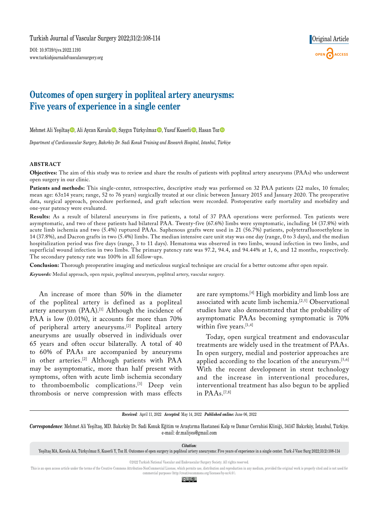DOI: 10.9739/tjvs.2022.1193 www.turkishjournalofvascularsurgery.org



# **Outcomes of open surgery in popliteal artery aneurysms: Five years of experience in a single center**

Mehmet Ali Yeşiltaş $\bigcirc$ , Ali Aycan Kavala $\bigcirc$ , Saygın Türkyılmaz $\bigcirc$ , Yusuf Kuserli $\bigcirc$ , Hasan Toz $\bigcirc$ 

*Department of Cardiovascular Surgery, Bakırköy Dr. Sadi Konuk Training and Research Hospital, Istanbul, Türkiye*

#### **ABSTRACT**

**Objectives:** The aim of this study was to review and share the results of patients with popliteal artery aneurysms (PAAs) who underwent open surgery in our clinic.

Patients and methods: This single-center, retrospective, descriptive study was performed on 32 PAA patients (22 males, 10 females; mean age: 63±14 years; range, 52 to 76 years) surgically treated at our clinic between January 2015 and January 2020. The preoperative data, surgical approach, procedure performed, and graft selection were recorded. Postoperative early mortality and morbidity and one-year patency were evaluated.

**Results:** As a result of bilateral aneurysms in five patients, a total of 37 PAA operations were performed. Ten patients were asymptomatic, and two of these patients had bilateral PAA. Twenty-five (67.6%) limbs were symptomatic, including 14 (37.8%) with acute limb ischemia and two (5.4%) ruptured PAAs. Saphenous grafts were used in 21 (56.7%) patients, polytetrafluoroethylene in 14 (37.8%), and Dacron grafts in two (5.4%) limbs. The median intensive care unit stay was one day (range, 0 to 3 days), and the median hospitalization period was five days (range, 3 to 11 days). Hematoma was observed in two limbs, wound infection in two limbs, and superficial wound infection in two limbs. The primary patency rate was 97.2, 94.4, and 94.44% at 1, 6, and 12 months, respectively. The secondary patency rate was 100% in all follow-ups.

**Conclusion:** Thorough preoperative imaging and meticulous surgical technique are crucial for a better outcome after open repair. *Keywords:* Medial approach, open repair, popliteal aneurysm, popliteal artery, vascular surgery.

An increase of more than 50% in the diameter of the popliteal artery is defined as a popliteal artery aneurysm (PAA).<sup>[1]</sup> Although the incidence of PAA is low (0.01%), it accounts for more than 70% of peripheral artery aneurysms.[2] Popliteal artery aneurysms are usually observed in individuals over 65 years and often occur bilaterally. A total of 40 to 60% of PAAs are accompanied by aneurysms in other arteries.[2] Although patients with PAA may be asymptomatic, more than half present with symptoms, often with acute limb ischemia secondary to thromboembolic complications.[3] Deep vein thrombosis or nerve compression with mass effects are rare symptoms.[4] High morbidity and limb loss are associated with acute limb ischemia.[2,5] Observational studies have also demonstrated that the probability of asymptomatic PAAs becoming symptomatic is 70% within five years.<sup>[1,4]</sup>

Today, open surgical treatment and endovascular treatments are widely used in the treatment of PAAs. In open surgery, medial and posterior approaches are applied according to the location of the aneurysm.<sup>[5,6]</sup> With the recent development in stent technology and the increase in interventional procedures, interventional treatment has also begun to be applied in PAAs.[7,8]

*Received:* April 11, 2022 *Accepted:* May 14, 2022 *Published online:* June 06, 2022

*Correspondence:* Mehmet Ali Yeşiltaş, MD. Bakırköy Dr. Sadi Konuk Eğitim ve Araştırma Hastanesi Kalp ve Damar Cerrahisi Kliniği, 34147 Bakırköy, İstanbul, Türkiye. e-mail: dr.maliyes@gmail.com

*Citation:*

©2022 Turkish National Vascular and Endovascular Surgery Society. All rights reserved.

This is an open access article under the terms of the Creative Commons Attribution-NonCommercial License, which permits use, distribution and reproduction in any medium, provided the original work is properly cited and is commercial purposes (http://creativecommons.org/licenses/by-nc/4.0/).

<u>© 0ි ල</u>

Yeşiltaş MA, Kavala AA, Türkyılmaz S, Kuserli Y, Toz H. Outcomes of open surgery in popliteal artery aneurysms: Five years of experience in a single center. Turk J Vasc Surg 2022;31(2):108-114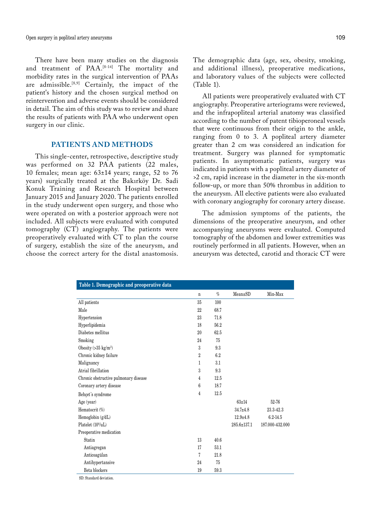There have been many studies on the diagnosis and treatment of PAA.[8-14] The mortality and morbidity rates in the surgical intervention of PAAs are admissible.<sup>[8,9]</sup> Certainly, the impact of the patient's history and the chosen surgical method on reintervention and adverse events should be considered in detail. The aim of this study was to review and share the results of patients with PAA who underwent open surgery in our clinic.

## **PATIENTS AND METHODS**

This single-center, retrospective, descriptive study was performed on 32 PAA patients (22 males, 10 females; mean age: 63±14 years; range, 52 to 76 years) surgically treated at the Bakırköy Dr. Sadi Konuk Training and Research Hospital between January 2015 and January 2020. The patients enrolled in the study underwent open surgery, and those who were operated on with a posterior approach were not included. All subjects were evaluated with computed tomography (CT) angiography. The patients were preoperatively evaluated with CT to plan the course of surgery, establish the size of the aneurysm, and choose the correct artery for the distal anastomosis.

The demographic data (age, sex, obesity, smoking, and additional illness), preoperative medications, and laboratory values of the subjects were collected (Table 1).

All patients were preoperatively evaluated with CT angiography. Preoperative arteriograms were reviewed, and the infrapopliteal arterial anatomy was classified according to the number of patent tibioperoneal vessels that were continuous from their origin to the ankle, ranging from 0 to 3. A popliteal artery diameter greater than 2 cm was considered an indication for treatment. Surgery was planned for symptomatic patients. In asymptomatic patients, surgery was indicated in patients with a popliteal artery diameter of >2 cm, rapid increase in the diameter in the six-month follow-up, or more than 50% thrombus in addition to the aneurysm. All elective patients were also evaluated with coronary angiography for coronary artery disease.

The admission symptoms of the patients, the dimensions of the preoperative aneurysm, and other accompanying aneurysms were evaluated. Computed tomography of the abdomen and lower extremities was routinely performed in all patients. However, when an aneurysm was detected, carotid and thoracic CT were

| Table 1. Demographic and preoperative data |                |      |                   |                 |
|--------------------------------------------|----------------|------|-------------------|-----------------|
|                                            | $\mathbf n$    | $\%$ | Mean±SD           | Min-Max         |
| All patients                               | 35             | 100  |                   |                 |
| Male                                       | 22             | 68.7 |                   |                 |
| Hypertension                               | 23             | 71.8 |                   |                 |
| Hyperlipidemia                             | 18             | 56.2 |                   |                 |
| Diabetes mellitus                          | 20             | 62.5 |                   |                 |
| Smoking                                    | 24             | 75   |                   |                 |
| Obesity $(>35 \text{ kg/m}^2)$             | 3              | 9.3  |                   |                 |
| Chronic kidney failure                     | $\overline{2}$ | 6.2  |                   |                 |
| Malignancy                                 | 1              | 3.1  |                   |                 |
| Atrial fibrillation                        | 3              | 9.3  |                   |                 |
| Chronic obstructive pulmonary disease      | 4              | 12.5 |                   |                 |
| Coronary artery disease                    | 6              | 18.7 |                   |                 |
| Behçet's syndrome                          | 4              | 12.5 |                   |                 |
| Age (year)                                 |                |      | $63 + 14$         | 52-76           |
| Hematocrit (%)                             |                |      | $34.7 + 4.8$      | 23.3-42.3       |
| Hemoglobin (g/dL)                          |                |      | $12.9 + 4.8$      | $6.2 - 14.5$    |
| Platelet (10%uL)                           |                |      | $285.6 \pm 137.1$ | 187.000-432.000 |
| Preoperative medication                    |                |      |                   |                 |
| Statin                                     | 13             | 40.6 |                   |                 |
| Antiagregan                                | 17             | 53.1 |                   |                 |
| Anticoagülan                               | 7              | 21.8 |                   |                 |
| Antihypertansive                           | 24             | 75   |                   |                 |
| Beta blockers                              | 19             | 59.3 |                   |                 |
|                                            |                |      |                   |                 |

SD: Standard deviation.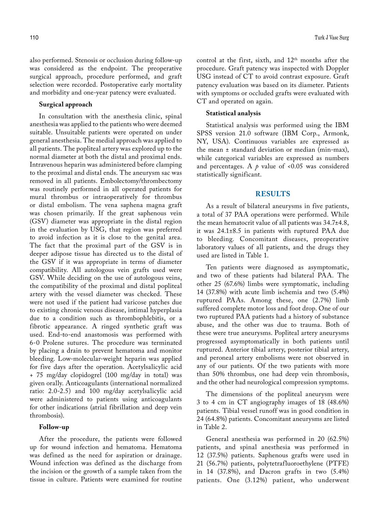also performed. Stenosis or occlusion during follow-up was considered as the endpoint. The preoperative surgical approach, procedure performed, and graft selection were recorded. Postoperative early mortality and morbidity and one-year patency were evaluated.

### **Surgical approach**

In consultation with the anesthesia clinic, spinal anesthesia was applied to the patients who were deemed suitable. Unsuitable patients were operated on under general anesthesia. The medial approach was applied to all patients. The popliteal artery was explored up to the normal diameter at both the distal and proximal ends. Intravenous heparin was administered before clamping to the proximal and distal ends. The aneurysm sac was removed in all patients. Embolectomy/thrombectomy was routinely performed in all operated patients for mural thrombus or intraoperatively for thrombus or distal embolism. The vena saphena magna graft was chosen primarily. If the great saphenous vein (GSV) diameter was appropriate in the distal region in the evaluation by USG, that region was preferred to avoid infection as it is close to the genital area. The fact that the proximal part of the GSV is in deeper adipose tissue has directed us to the distal of the GSV if it was appropriate in terms of diameter compatibility. All autologous vein grafts used were GSV. While deciding on the use of autologous veins, the compatibility of the proximal and distal popliteal artery with the vessel diameter was checked. These were not used if the patient had varicose patches due to existing chronic venous disease, intimal hyperplasia due to a condition such as thrombophlebitis, or a fibrotic appearance. A ringed synthetic graft was used. End-to-end anastomosis was performed with 6-0 Prolene sutures. The procedure was terminated by placing a drain to prevent hematoma and monitor bleeding. Low-molecular-weight heparin was applied for five days after the operation. Acetylsalicylic acid + 75 mg/day clopidogrel (100 mg/day in total) was given orally. Anticoagulants (international normalized ratio: 2.0-2.5) and 100 mg/day acetylsalicylic acid were administered to patients using anticoagulants for other indications (atrial fibrillation and deep vein thrombosis).

#### **Follow-up**

After the procedure, the patients were followed up for wound infection and hematoma. Hematoma was defined as the need for aspiration or drainage. Wound infection was defined as the discharge from the incision or the growth of a sample taken from the tissue in culture. Patients were examined for routine control at the first, sixth, and  $12<sup>th</sup>$  months after the procedure. Graft patency was inspected with Doppler USG instead of CT to avoid contrast exposure. Graft patency evaluation was based on its diameter. Patients with symptoms or occluded grafts were evaluated with CT and operated on again.

#### **Statistical analysis**

Statistical analysis was performed using the IBM SPSS version 21.0 software (IBM Corp., Armonk, NY, USA). Continuous variables are expressed as the mean ± standard deviation or median (min-max), while categorical variables are expressed as numbers and percentages. A  $p$  value of <0.05 was considered statistically significant.

#### **RESULTS**

As a result of bilateral aneurysms in five patients, a total of 37 PAA operations were performed. While the mean hematocrit value of all patients was 34.7±4.8, it was 24.1±8.5 in patients with ruptured PAA due to bleeding. Concomitant diseases, preoperative laboratory values of all patients, and the drugs they used are listed in Table 1.

Ten patients were diagnosed as asymptomatic, and two of these patients had bilateral PAA. The other 25 (67.6%) limbs were symptomatic, including 14 (37.8%) with acute limb ischemia and two (5.4%) ruptured PAAs. Among these, one (2.7%) limb suffered complete motor loss and foot drop. One of our two ruptured PAA patients had a history of substance abuse, and the other was due to trauma. Both of these were true aneurysms. Popliteal artery aneurysms progressed asymptomatically in both patients until ruptured. Anterior tibial artery, posterior tibial artery, and peroneal artery embolisms were not observed in any of our patients. Of the two patients with more than 50% thrombus, one had deep vein thrombosis, and the other had neurological compression symptoms.

The dimensions of the popliteal aneurysm were 3 to 4 cm in CT angiography images of 18 (48.6%) patients. Tibial vessel runoff was in good condition in 24 (64.8%) patients. Concomitant aneurysms are listed in Table 2.

General anesthesia was performed in 20 (62.5%) patients, and spinal anesthesia was performed in 12 (37.5%) patients. Saphenous grafts were used in 21 (56.7%) patients, polytetrafluoroethylene (PTFE) in 14 (37.8%), and Dacron grafts in two (5.4%) patients. One (3.12%) patient, who underwent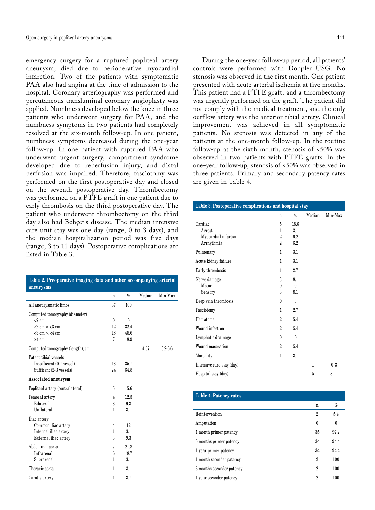emergency surgery for a ruptured popliteal artery aneurysm, died due to perioperative myocardial infarction. Two of the patients with symptomatic PAA also had angina at the time of admission to the hospital. Coronary arteriography was performed and percutaneous transluminal coronary angioplasty was applied. Numbness developed below the knee in three patients who underwent surgery for PAA, and the numbness symptoms in two patients had completely resolved at the six-month follow-up. In one patient, numbness symptoms decreased during the one-year follow-up. In one patient with ruptured PAA who underwent urgent surgery, compartment syndrome developed due to reperfusion injury, and distal perfusion was impaired. Therefore, fasciotomy was performed on the first postoperative day and closed on the seventh postoperative day. Thrombectomy was performed on a PTFE graft in one patient due to early thrombosis on the third postoperative day. The patient who underwent thrombectomy on the third day also had Behçet's disease. The median intensive care unit stay was one day (range, 0 to 3 days), and the median hospitalization period was five days (range, 3 to 11 days). Postoperative complications are listed in Table 3.

| Table 2. Preoperative imaging data and other accompanying arterial<br>aneurysms |          |          |        |             |
|---------------------------------------------------------------------------------|----------|----------|--------|-------------|
|                                                                                 | n        | $\%$     | Median | Min-Max     |
| All aneurysmatic limbs                                                          | 37       | 100      |        |             |
| Computed tomography (diameter)                                                  |          |          |        |             |
| $<$ 2 cm                                                                        | $\theta$ | $\theta$ |        |             |
| $<$ 2 cm $\times$ $<$ 3 cm                                                      | 12       | 32.4     |        |             |
| $<$ 3 cm $\times$ <4 cm                                                         | 18       | 48.6     |        |             |
| $>4 \text{ cm}$                                                                 | 7        | 18.9     |        |             |
| Computed tomography (length), cm                                                |          |          | 4.57   | $3.2 - 6.6$ |
| Patent tibial vessels                                                           |          |          |        |             |
| Insufficient (0-1 vessel)                                                       | 13       | 35.1     |        |             |
| Sufficent (2-3 vessels)                                                         | 24       | 64.8     |        |             |
| Associated aneurysm                                                             |          |          |        |             |
| Popliteal artery (contralateral)                                                | 5        | 15.6     |        |             |
| Femoral artery                                                                  | 4        | 12.5     |        |             |
| Bilateral                                                                       | 3        | 9.3      |        |             |
| Unilateral                                                                      | 1        | 3.1      |        |             |
| Iliac artery                                                                    |          |          |        |             |
| Common iliac artery                                                             | 4        | 12       |        |             |
| Internal iliac artery                                                           | 1        | 3.1      |        |             |
| External iliac artery                                                           | 3        | 9.3      |        |             |
| Abdominal aorta                                                                 | 7        | 21.8     |        |             |
| Infrarenal                                                                      | 6        | 18.7     |        |             |
| Suprarenal                                                                      | 1        | 3.1      |        |             |
| Thoracic aorta                                                                  | 1        | 3.1      |        |             |
| Carotis artery                                                                  | 1        | 3.1      |        |             |

During the one-year follow-up period, all patients' controls were performed with Doppler USG. No stenosis was observed in the first month. One patient presented with acute arterial ischemia at five months. This patient had a PTFE graft, and a thrombectomy was urgently performed on the graft. The patient did not comply with the medical treatment, and the only outflow artery was the anterior tibial artery. Clinical improvement was achieved in all symptomatic patients. No stenosis was detected in any of the patients at the one-month follow-up. In the routine follow-up at the sixth month, stenosis of <50% was observed in two patients with PTFE grafts. In the one-year follow-up, stenosis of <50% was observed in three patients. Primary and secondary patency rates are given in Table 4.

| Table 3. Postoperative complications and hospital stay |                |          |        |         |
|--------------------------------------------------------|----------------|----------|--------|---------|
|                                                        | n              | $\%$     | Median | Min-Max |
| Cardiac                                                | 5              | 15.6     |        |         |
| Arrest.                                                | 1              | 3.1      |        |         |
| Myocardial infartion                                   | $\overline{2}$ | 6.2      |        |         |
| Arrhythmia                                             | $\overline{2}$ | 6.2      |        |         |
| Pulmonary                                              | 1              | 3.1      |        |         |
| Acute kidney failure                                   | 1              | 3.1      |        |         |
| Early thrombosis                                       | 1              | 2.7      |        |         |
| Nerve damage                                           | 3              | 8.1      |        |         |
| Motor                                                  | $\theta$       | $\theta$ |        |         |
| Sensory                                                | 3              | 8.1      |        |         |
| Deep vein thrombosis                                   | $\theta$       | $\theta$ |        |         |
| Fasciotomy                                             | 1              | 2.7      |        |         |
| Hematoma                                               | $\overline{2}$ | 5.4      |        |         |
| Wound infection                                        | $\overline{2}$ | 5.4      |        |         |
| Lymphatic drainage                                     | 0              | $\theta$ |        |         |
| Wound maceration                                       | $\overline{2}$ | 5.4      |        |         |
| Mortality                                              | 1              | 3.1      |        |         |
| Intensive care stay (day)                              |                |          | 1      | $0 - 3$ |
| Hospital stay (day)                                    |                |          | 5      | $3-11$  |

| <b>Table 4. Patency rates</b> |          |      |
|-------------------------------|----------|------|
|                               | n        | $\%$ |
| Reintervention                | 2        | 5.4  |
| Amputation                    | $\theta$ | 0    |
| 1 month primer patency        | 35       | 97.2 |
| 6 months primer patency       | 34       | 94.4 |
| 1 year primer patency         | 34       | 94.4 |
| 1 month seconder patency      | 2        | 100  |
| 6 months seconder patency     | 2        | 100  |
| 1 year seconder patency       | 2        | 100  |
|                               |          |      |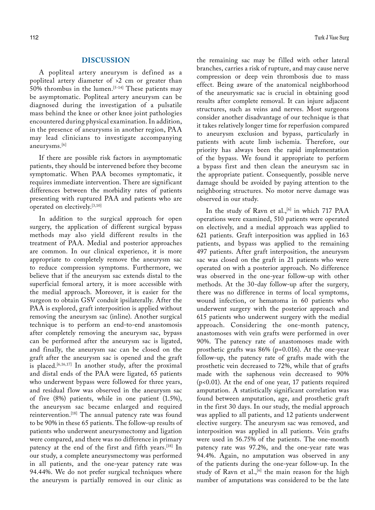## **DISCUSSION**

A popliteal artery aneurysm is defined as a popliteal artery diameter of >2 cm or greater than 50% thrombus in the lumen.<sup>[5-14]</sup> These patients may be asymptomatic. Popliteal artery aneurysm can be diagnosed during the investigation of a pulsatile mass behind the knee or other knee joint pathologies encountered during physical examination. In addition, in the presence of aneurysms in another region, PAA may lead clinicians to investigate accompanying aneurysms.[6]

If there are possible risk factors in asymptomatic patients, they should be intervened before they become symptomatic. When PAA becomes symptomatic, it requires immediate intervention. There are significant differences between the morbidity rates of patients presenting with ruptured PAA and patients who are operated on electively.[3,10]

In addition to the surgical approach for open surgery, the application of different surgical bypass methods may also yield different results in the treatment of PAA. Medial and posterior approaches are common. In our clinical experience, it is more appropriate to completely remove the aneurysm sac to reduce compression symptoms. Furthermore, we believe that if the aneurysm sac extends distal to the superficial femoral artery, it is more accessible with the medial approach. Moreover, it is easier for the surgeon to obtain GSV conduit ipsilaterally. After the PAA is explored, graft interposition is applied without removing the aneurysm sac (inline). Another surgical technique is to perform an end-to-end anastomosis after completely removing the aneurysm sac, bypass can be performed after the aneurysm sac is ligated, and finally, the aneurysm sac can be closed on the graft after the aneurysm sac is opened and the graft is placed.<sup>[6,16,17]</sup> In another study, after the proximal and distal ends of the PAA were ligated, 65 patients who underwent bypass were followed for three years, and residual flow was observed in the aneurysm sac of five (8%) patients, while in one patient (1.5%), the aneurysm sac became enlarged and required reintervention.[18] The annual patency rate was found to be 90% in these 65 patients. The follow-up results of patients who underwent aneurysmectomy and ligation were compared, and there was no difference in primary patency at the end of the first and fifth years.[18] In our study, a complete aneurysmectomy was performed in all patients, and the one-year patency rate was 94.44%. We do not prefer surgical techniques where the aneurysm is partially removed in our clinic as

the remaining sac may be filled with other lateral branches, carries a risk of rupture, and may cause nerve compression or deep vein thrombosis due to mass effect. Being aware of the anatomical neighborhood of the aneurysmatic sac is crucial in obtaining good results after complete removal. It can injure adjacent structures, such as veins and nerves. Most surgeons consider another disadvantage of our technique is that it takes relatively longer time for reperfusion compared to aneurysm exclusion and bypass, particularly in patients with acute limb ischemia. Therefore, our priority has always been the rapid implementation of the bypass. We found it appropriate to perform a bypass first and then clean the aneurysm sac in the appropriate patient. Consequently, possible nerve damage should be avoided by paying attention to the neighboring structures. No motor nerve damage was observed in our study.

In the study of Ravn et al.,<sup>[6]</sup> in which 717 PAA operations were examined, 510 patients were operated on electively, and a medial approach was applied to 621 patients. Graft interposition was applied in 163 patients, and bypass was applied to the remaining 497 patients. After graft interposition, the aneurysm sac was closed on the graft in 21 patients who were operated on with a posterior approach. No difference was observed in the one-year follow-up with other methods. At the 30-day follow-up after the surgery, there was no difference in terms of local symptoms, wound infection, or hematoma in 60 patients who underwent surgery with the posterior approach and 615 patients who underwent surgery with the medial approach. Considering the one-month patency, anastomoses with vein grafts were performed in over 90%. The patency rate of anastomoses made with prosthetic grafts was 86% (p=0.016). At the one-year follow-up, the patency rate of grafts made with the prosthetic vein decreased to 72%, while that of grafts made with the saphenous vein decreased to 90% (p<0.01). At the end of one year, 17 patients required amputation. A statistically significant correlation was found between amputation, age, and prosthetic graft in the first 30 days. In our study, the medial approach was applied to all patients, and 12 patients underwent elective surgery. The aneurysm sac was removed, and interposition was applied in all patients. Vein grafts were used in 56.75% of the patients. The one-month patency rate was 97.2%, and the one-year rate was 94.4%. Again, no amputation was observed in any of the patients during the one-year follow-up. In the study of Ravn et al.,<sup>[6]</sup> the main reason for the high number of amputations was considered to be the late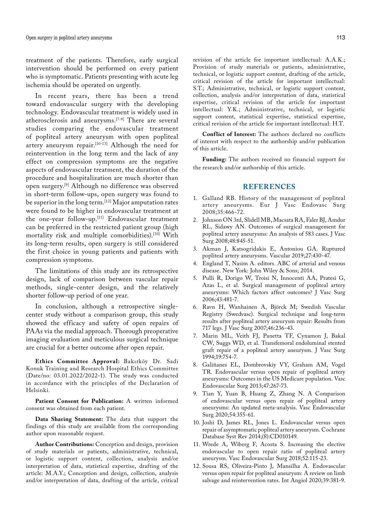treatment of the patients. Therefore, early surgical intervention should be performed on every patient who is symptomatic. Patients presenting with acute leg ischemia should be operated on urgently.

In recent years, there has been a trend toward endovascular surgery with the developing technology. Endovascular treatment is widely used in atherosclerosis and aneurysms.[7-9] There are several studies comparing the endovascular treatment of popliteal artery aneurysm with open popliteal artery aneurysm repair.[10-13] Although the need for reintervention in the long term and the lack of any effect on compression symptoms are the negative aspects of endovascular treatment, the duration of the procedure and hospitalization are much shorter than open surgery.[9] Although no difference was observed in short-term follow-ups, open surgery was found to be superior in the long term.[12] Major amputation rates were found to be higher in endovascular treatment at the one-year follow-up.[11] Endovascular treatment can be preferred in the restricted patient group (high mortality risk and multiple comorbidities).[10] With its long-term results, open surgery is still considered the first choice in young patients and patients with compression symptoms.

The limitations of this study are its retrospective design, lack of comparison between vascular repair methods, single-center design, and the relatively shorter follow-up period of one year.

In conclusion, although a retrospective singlecenter study without a comparison group, this study showed the efficacy and safety of open repairs of PAAs via the medial approach. Thorough preoperative imaging evaluation and meticulous surgical technique are crucial for a better outcome after open repair.

**Ethics Committee Approval:** Bakırköy Dr. Sadi Konuk Training and Research Hospital Ethics Committee (Date/no: 03.01.2022/2022-1). The study was conducted in accordance with the principles of the Declaration of Helsinki.

Patient Consent for Publication: A written informed consent was obtained from each patient.

**Data Sharing Statement:** The data that support the findings of this study are available from the corresponding author upon reasonable request.

**Author Contributions:** Conception and design, provision of study materials or patients, administrative, technical, or logistic support content, collection, analysis and/or interpretation of data, statistical expertise, drafting of the article: M.A.Y.; Conception and design, collection, analysis and/or interpretation of data, drafting of the article, critical

revision of the article for important intellectual: A.A.K.; Provision of study materials or patients, administrative, technical, or logistic support content, drafting of the article, critical revision of the article for important intellectual: S.T.; Administrative, technical, or logistic support content, collection, analysis and/or interpretation of data, statistical expertise, critical revision of the article for important intellectual: Y.K.; Administrative, technical, or logistic support content, statistical expertise, statistical expertise, critical revision of the article for important intellectual: H.T.

**Conflict of Interest:** The authors declared no conflicts of interest with respect to the authorship and/or publication of this article.

**Funding:** The authors received no financial support for the research and/or authorship of this article.

#### **REFERENCES**

- 1. Galland RB. History of the management of popliteal artery aneurysms. Eur J Vasc Endovasc Surg 2008;35:466-72.
- 2. Johnson ON 3rd, Slidell MB, Macsata RA, Faler BJ, Amdur RL, Sidawy AN. Outcomes of surgical management for popliteal artery aneurysms: An analysis of 583 cases. J Vasc Surg 2008;48:845-51.
- 3. Akman J, Katsogridakis E, Antoniou GA. Ruptured popliteal artery aneurysms. Vascular 2019;27:430-47.
- 4. England T, Nasim A. editors. ABC of arterial and venous disease. New York: John Wiley & Sons; 2014.
- 5. Pulli R, Dorigo W, Troisi N, Innocenti AA, Pratesi G, Azas L, et al. Surgical management of popliteal artery aneurysms: Which factors affect outcomes? J Vasc Surg 2006;43:481-7.
- 6. Ravn H, Wanhainen A, Björck M; Swedish Vascular Registry (Swedvasc). Surgical technique and long-term results after popliteal artery aneurysm repair: Results from 717 legs. J Vasc Surg 2007;46:236-43.
- 7. Marin ML, Veith FJ, Panetta TF, Cynamon J, Bakal CW, Suggs WD, et al. Transfemoral endoluminal stented graft repair of a popliteal artery aneurysm. J Vasc Surg 1994;19:754-7.
- 8. Galiñanes EL, Dombrovskiy VY, Graham AM, Vogel TR. Endovascular versus open repair of popliteal artery aneurysms: Outcomes in the US Medicare population. Vasc Endovascular Surg 2013;47:267-73.
- 9. Tian Y, Yuan B, Huang Z, Zhang N. A Comparison of endovascular versus open repair of popliteal artery aneurysms: An updated meta-analysis. Vasc Endovascular Surg 2020;54:355-61.
- 10. Joshi D, James RL, Jones L. Endovascular versus open repair of asymptomatic popliteal artery aneurysm. Cochrane Database Syst Rev 2014;(8):CD010149.
- 11. Wrede A, Wiberg F, Acosta S. Increasing the elective endovascular to open repair ratio of popliteal artery aneurysm. Vasc Endovascular Surg 2018;52:115-23.
- 12. Sousa RS, Oliveira-Pinto J, Mansilha A. Endovascular versus open repair for popliteal aneurysm: A review on limb salvage and reintervention rates. Int Angiol 2020;39:381-9.